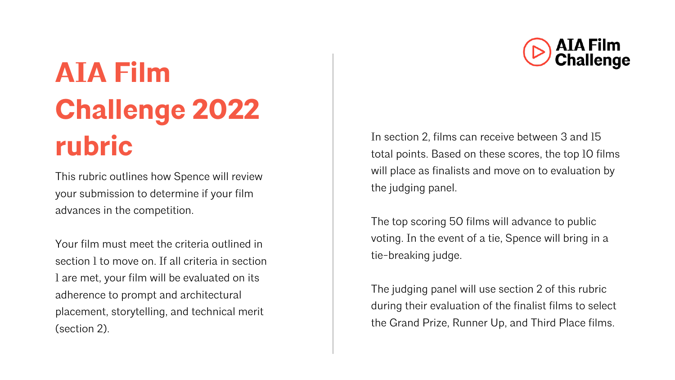# **AIA Film Challenge 2022 rubric**

This rubric outlines how Spence will review your submission to determine if your film advances in the competition.

Your film must meet the criteria outlined in section 1 to move on. If all criteria in section 1 are met, your film will be evaluated on its adherence to prompt and architectural placement, storytelling, and technical merit (section 2).

In section 2, films can receive between 3 and 15 total points. Based on these scores, the top 10 films will place as finalists and move on to evaluation by the judging panel.

The top scoring 50 films will advance to public voting. In the event of a tie, Spence will bring in a tie-breaking judge.

The judging panel will use section 2 of this rubric during their evaluation of the finalist films to select the Grand Prize, Runner Up, and Third Place films.

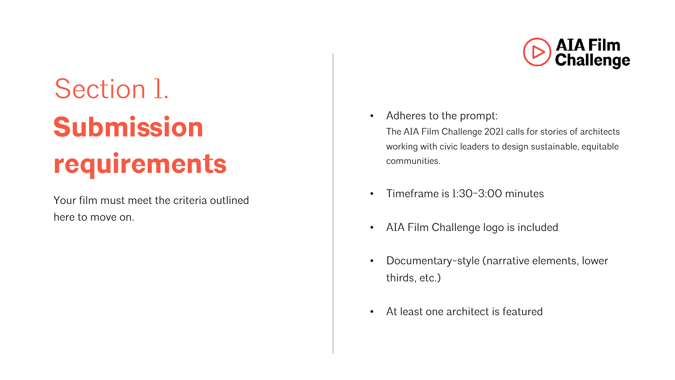# Section 1. **Submission requirements**

Your film must meet the criteria outlined here to move on.



• Adheres to the prompt:

The AIA Film Challenge 2021 calls for stories of architects working with civic leaders to design sustainable, equitable communities.

- Timeframe is 1:30-3:00 minutes
- AIA Film Challenge logo is included
- Documentary-style (narrative elements, lower thirds, etc.)
- At least one architect is featured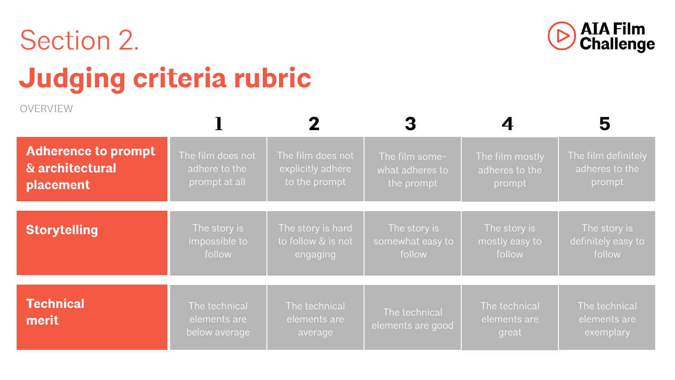# Section 2.



# **Judging criteria rubric**

OVERVIEW

| <b>Adherence to prompt</b> | The film does not                              | The film does not                        | The film some-                     | The film mostly                        | The film definitely                        |
|----------------------------|------------------------------------------------|------------------------------------------|------------------------------------|----------------------------------------|--------------------------------------------|
| & architectural            | adhere to the                                  | explicitly adhere                        | what adheres to                    | adheres to the                         | adheres to the                             |
| placement                  | prompt at all                                  | to the prompt                            | the prompt                         | prompt                                 | prompt                                     |
| <b>Storytelling</b>        | The story is                                   | The story is hard                        | The story is                       | The story is                           | The story is                               |
|                            | impossible to                                  | to follow & is not                       | somewhat easy to                   | mostly easy to                         | definitely easy to                         |
|                            | follow                                         | engaging                                 | follow                             | follow                                 | follow                                     |
| <b>Technical</b><br>merit  | The technical<br>elements are<br>below average | The technical<br>elements are<br>average | The technical<br>elements are good | The technical<br>elements are<br>great | The technical<br>elements are<br>exemplary |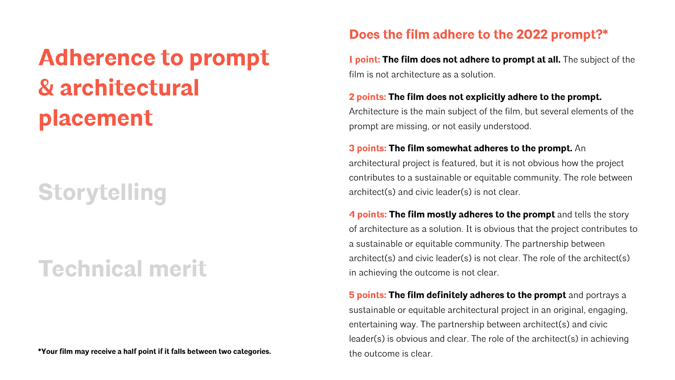## **Adherence to prompt & architectural placement**

## **Storytelling**

### **Technical merit**

**\*Your film may receive a half point if it falls between two categories.** The outcome is clear.

### **Does the film adhere to the 2022 prompt?\***

**1 point: The film does not adhere to prompt at all.** The subject of the film is not architecture as a solution.

#### **2 points: The film does not explicitly adhere to the prompt.**

Architecture is the main subject of the film, but several elements of the prompt are missing, or not easily understood.

#### **3 points: The film somewhat adheres to the prompt.** An

architectural project is featured, but it is not obvious how the project contributes to a sustainable or equitable community. The role between architect(s) and civic leader(s) is not clear.

**4 points: The film mostly adheres to the prompt** and tells the story of architecture as a solution. It is obvious that the project contributes to a sustainable or equitable community. The partnership between architect(s) and civic leader(s) is not clear. The role of the architect(s) in achieving the outcome is not clear.

**5 points: The film definitely adheres to the prompt** and portrays a sustainable or equitable architectural project in an original, engaging, entertaining way. The partnership between architect(s) and civic leader(s) is obvious and clear. The role of the architect(s) in achieving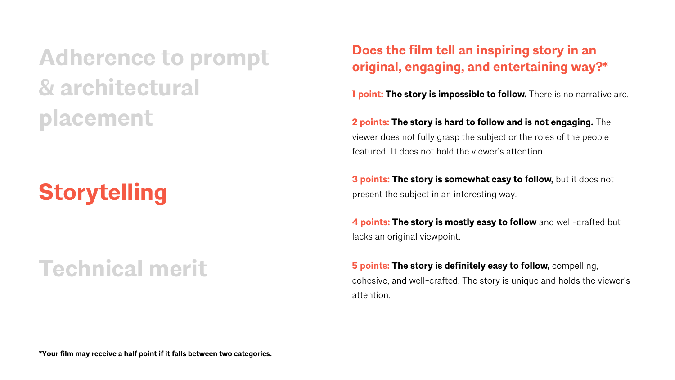**Adherence to prompt & architectural placement**

## **Storytelling**

### **Technical merit**

### **Does the film tell an inspiring story in an original, engaging, and entertaining way?\***

**1 point: The story is impossible to follow.** There is no narrative arc.

**2 points: The story is hard to follow and is not engaging.** The viewer does not fully grasp the subject or the roles of the people featured. It does not hold the viewer's attention.

**3 points: The story is somewhat easy to follow, but it does not** present the subject in an interesting way.

**4 points: The story is mostly easy to follow** and well-crafted but lacks an original viewpoint.

**5 points: The story is definitely easy to follow,** compelling, cohesive, and well-crafted. The story is unique and holds the viewer's attention.